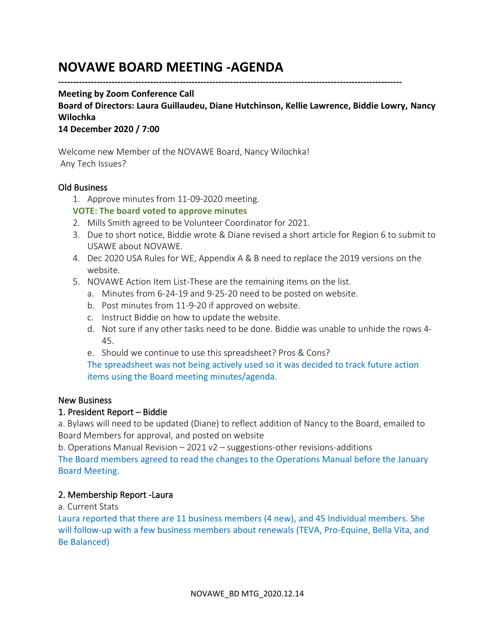# **NOVAWE BOARD MEETING -AGENDA**

**--------------------------------------------------------------------------------------------------------------------**

#### **Meeting by Zoom Conference Call**

**Board of Directors: Laura Guillaudeu, Diane Hutchinson, Kellie Lawrence, Biddie Lowry, Nancy Wilochka**

#### **14 December 2020 / 7:00**

Welcome new Member of the NOVAWE Board, Nancy Wilochka! Any Tech Issues?

#### Old Business

1. Approve minutes from 11-09-2020 meeting.

#### **VOTE: The board voted to approve minutes**

- 2. Mills Smith agreed to be Volunteer Coordinator for 2021.
- 3. Due to short notice, Biddie wrote & Diane revised a short article for Region 6 to submit to USAWE about NOVAWE.
- 4. Dec 2020 USA Rules for WE, Appendix A & B need to replace the 2019 versions on the website.
- 5. NOVAWE Action Item List-These are the remaining items on the list.
	- a. Minutes from 6-24-19 and 9-25-20 need to be posted on website.
	- b. Post minutes from 11-9-20 if approved on website.
	- c. Instruct Biddie on how to update the website.
	- d. Not sure if any other tasks need to be done. Biddie was unable to unhide the rows 4- 45.
	- e. Should we continue to use this spreadsheet? Pros & Cons?

The spreadsheet was not being actively used so it was decided to track future action items using the Board meeting minutes/agenda.

#### New Business

#### 1. President Report – Biddie

a. Bylaws will need to be updated (Diane) to reflect addition of Nancy to the Board, emailed to Board Members for approval, and posted on website

b. Operations Manual Revision – 2021 v2 – suggestions-other revisions-additions

The Board members agreed to read the changes to the Operations Manual before the January Board Meeting.

#### 2. Membership Report -Laura

a. Current Stats

Laura reported that there are 11 business members (4 new), and 45 Individual members. She will follow-up with a few business members about renewals (TEVA, Pro-Equine, Bella Vita, and Be Balanced)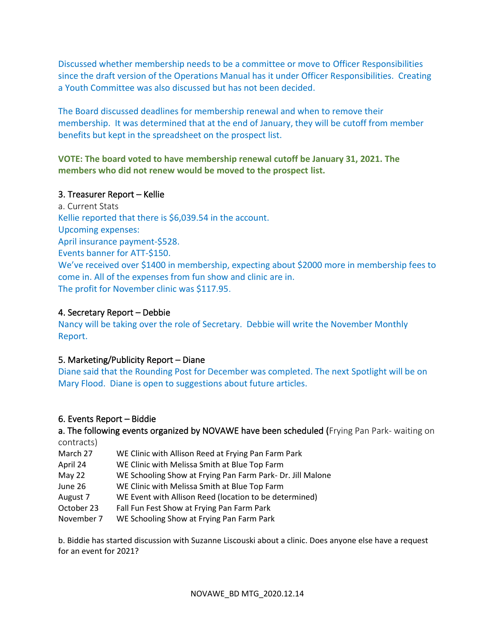Discussed whether membership needs to be a committee or move to Officer Responsibilities since the draft version of the Operations Manual has it under Officer Responsibilities. Creating a Youth Committee was also discussed but has not been decided.

The Board discussed deadlines for membership renewal and when to remove their membership. It was determined that at the end of January, they will be cutoff from member benefits but kept in the spreadsheet on the prospect list.

## **VOTE: The board voted to have membership renewal cutoff be January 31, 2021. The members who did not renew would be moved to the prospect list.**

### 3. Treasurer Report – Kellie

a. Current Stats Kellie reported that there is \$6,039.54 in the account. Upcoming expenses: April insurance payment-\$528. Events banner for ATT-\$150. We've received over \$1400 in membership, expecting about \$2000 more in membership fees to come in. All of the expenses from fun show and clinic are in. The profit for November clinic was \$117.95.

## 4. Secretary Report – Debbie

Nancy will be taking over the role of Secretary. Debbie will write the November Monthly Report.

#### 5. Marketing/Publicity Report – Diane

Diane said that the Rounding Post for December was completed. The next Spotlight will be on Mary Flood. Diane is open to suggestions about future articles.

## 6. Events Report – Biddie

a. The following events organized by NOVAWE have been scheduled (Frying Pan Park- waiting on contracts)

March 27 WE Clinic with Allison Reed at Frying Pan Farm Park April 24 WE Clinic with Melissa Smith at Blue Top Farm May 22 WE Schooling Show at Frying Pan Farm Park- Dr. Jill Malone June 26 WE Clinic with Melissa Smith at Blue Top Farm August 7 WE Event with Allison Reed (location to be determined) October 23 Fall Fun Fest Show at Frying Pan Farm Park November 7 WE Schooling Show at Frying Pan Farm Park

b. Biddie has started discussion with Suzanne Liscouski about a clinic. Does anyone else have a request for an event for 2021?